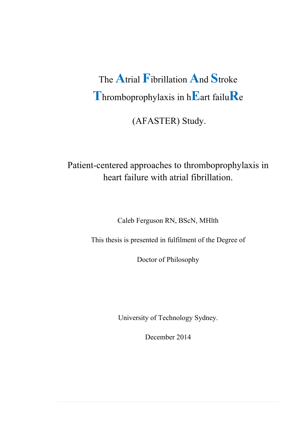# The **A**trial **F**ibrillation **A**nd **S**troke **T**hromboprophylaxis in h**E**art failu**R**<sup>e</sup>

(AFASTER) Study.

# Patient-centered approaches to thromboprophylaxis in heart failure with atrial fibrillation.

Caleb Ferguson RN, BScN, MHlth

This thesis is presented in fulfilment of the Degree of

Doctor of Philosophy

University of Technology Sydney.

December 2014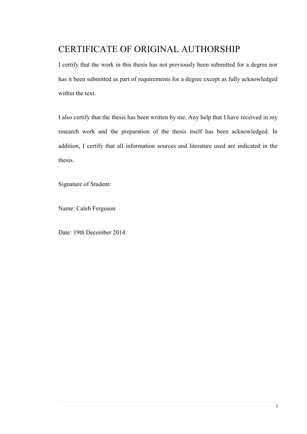# CERTIFICATE OF ORIGINAL AUTHORSHIP

I certify that the work in this thesis has not previously been submitted for a degree nor has it been submitted as part of requirements for a degree except as fully acknowledged within the text.

I also certify that the thesis has been written by me. Any help that I have received in my research work and the preparation of the thesis itself has been acknowledged. In addition, I certify that all information sources and literature used are indicated in the thesis.

Signature of Student:

Name: Caleb Ferguson

Date: 19th December 2014.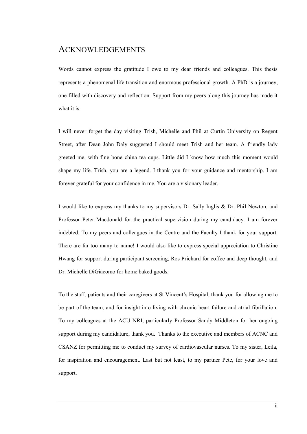### ACKNOWLEDGEMENTS

Words cannot express the gratitude I owe to my dear friends and colleagues. This thesis represents a phenomenal life transition and enormous professional growth. A PhD is a journey, one filled with discovery and reflection. Support from my peers along this journey has made it what it is.

I will never forget the day visiting Trish, Michelle and Phil at Curtin University on Regent Street, after Dean John Daly suggested I should meet Trish and her team. A friendly lady greeted me, with fine bone china tea cups. Little did I know how much this moment would shape my life. Trish, you are a legend. I thank you for your guidance and mentorship. I am forever grateful for your confidence in me. You are a visionary leader.

I would like to express my thanks to my supervisors Dr. Sally Inglis & Dr. Phil Newton, and Professor Peter Macdonald for the practical supervision during my candidacy. I am forever indebted. To my peers and colleagues in the Centre and the Faculty I thank for your support. There are far too many to name! I would also like to express special appreciation to Christine Hwang for support during participant screening, Ros Prichard for coffee and deep thought, and Dr. Michelle DiGiacomo for home baked goods.

To the staff, patients and their caregivers at St Vincent's Hospital, thank you for allowing me to be part of the team, and for insight into living with chronic heart failure and atrial fibrillation. To my colleagues at the ACU NRI, particularly Professor Sandy Middleton for her ongoing support during my candidature, thank you. Thanks to the executive and members of ACNC and CSANZ for permitting me to conduct my survey of cardiovascular nurses. To my sister, Leila, for inspiration and encouragement. Last but not least, to my partner Pete, for your love and support.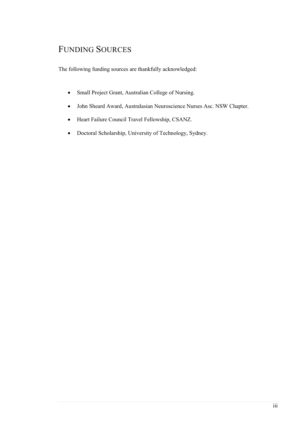# FUNDING SOURCES

The following funding sources are thankfully acknowledged:

- Small Project Grant, Australian College of Nursing.
- John Sheard Award, Australasian Neuroscience Nurses Asc. NSW Chapter.
- Heart Failure Council Travel Fellowship, CSANZ.
- Doctoral Scholarship, University of Technology, Sydney.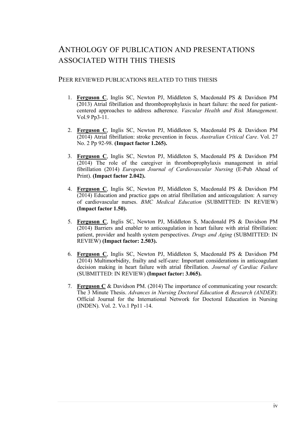### ANTHOLOGY OF PUBLICATION AND PRESENTATIONS ASSOCIATED WITH THIS THESIS

#### PEER REVIEWED PUBLICATIONS RELATED TO THIS THESIS

- 1. **Ferguson C**, Inglis SC, Newton PJ, Middleton S, Macdonald PS & Davidson PM (2013) Atrial fibrillation and thromboprophylaxis in heart failure: the need for patientcentered approaches to address adherence. *Vascular Health and Risk Management*. Vol.9 Pp3-11.
- 2. **Ferguson C**, Inglis SC, Newton PJ, Middleton S, Macdonald PS & Davidson PM (2014) Atrial fibrillation: stroke prevention in focus. *Australian Critical Care*. Vol. 27 No. 2 Pp 92-98. **(Impact factor 1.265).**
- 3. **Ferguson C**, Inglis SC, Newton PJ, Middleton S, Macdonald PS & Davidson PM (2014) The role of the caregiver in thromboprophylaxis management in atrial fibrillation (2014) *European Journal of Cardiovascular Nursing* (E-Pub Ahead of Print). **(Impact factor 2.042).**
- 4. **Ferguson C**, Inglis SC, Newton PJ, Middleton S, Macdonald PS & Davidson PM (2014) Education and practice gaps on atrial fibrillation and anticoagulation: A survey of cardiovascular nurses. *BMC Medical Education* (SUBMITTED: IN REVIEW) **(Impact factor 1.50).**
- 5. **Ferguson C**, Inglis SC, Newton PJ, Middleton S, Macdonald PS & Davidson PM (2014) Barriers and enabler to anticoagulation in heart failure with atrial fibrillation: patient, provider and health system perspectives. *Drugs and Aging* (SUBMITTED: IN REVIEW) **(Impact factor: 2.503).**
- 6. **Ferguson C**, Inglis SC, Newton PJ, Middleton S, Macdonald PS & Davidson PM (2014) Multimorbidity, frailty and self-care: Important considerations in anticoagulant decision making in heart failure with atrial fibrillation. *Journal of Cardiac Failure* (SUBMITTED: IN REVIEW) **(Impact factor: 3.065).**
- 7. **Ferguson C** & Davidson PM. (2014) The importance of communicating your research: The 3 Minute Thesis. *Advances in Nursing Doctoral Education & Research (ANDER*): Official Journal for the International Network for Doctoral Education in Nursing (INDEN). Vol. 2. Vo.1 Pp11 -14.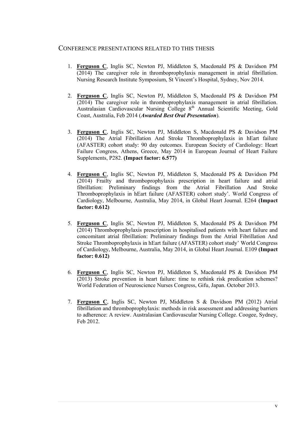#### CONFERENCE PRESENTATIONS RELATED TO THIS THESIS

- 1. **Ferguson C**, Inglis SC, Newton PJ, Middleton S, Macdonald PS & Davidson PM (2014) The caregiver role in thromboprophylaxis management in atrial fibrillation. Nursing Research Institute Symposium, St Vincent's Hospital, Sydney, Nov 2014.
- 2. **Ferguson C**, Inglis SC, Newton PJ, Middleton S, Macdonald PS & Davidson PM (2014) The caregiver role in thromboprophylaxis management in atrial fibrillation. Australasian Cardiovascular Nursing College 8<sup>th</sup> Annual Scientific Meeting, Gold Coast, Australia, Feb 2014 (*Awarded Best Oral Presentation*).
- 3. **Ferguson C**, Inglis SC, Newton PJ, Middleton S, Macdonald PS & Davidson PM (2014) The Atrial Fibrillation And Stroke Thromboprophylaxis in hEart failure (AFASTER) cohort study: 90 day outcomes. European Society of Cardiology: Heart Failure Congress, Athens, Greece, May 2014 in European Journal of Heart Failure Supplements, P282. **(Impact factor: 6.577)**
- 4. **Ferguson C**, Inglis SC, Newton PJ, Middleton S, Macdonald PS & Davidson PM (2014) Frailty and thromboprophylaxis prescription in heart failure and atrial fibrillation: Preliminary findings from the Atrial Fibrillation And Stroke Thromboprophylaxis in hEart failure (AFASTER) cohort study'. World Congress of Cardiology, Melbourne, Australia, May 2014, in Global Heart Journal. E264 **(Impact factor: 0.612)**
- 5. **Ferguson C**, Inglis SC, Newton PJ, Middleton S, Macdonald PS & Davidson PM (2014) Thromboprophylaxis prescription in hospitalised patients with heart failure and concomitant atrial fibrillation: Preliminary findings from the Atrial Fibrillation And Stroke Thromboprophylaxis in hEart failure (AFASTER) cohort study' World Congress of Cardiology, Melbourne, Australia, May 2014, in Global Heart Journal. E109 **(Impact factor: 0.612)**
- 6. **Ferguson C**, Inglis SC, Newton PJ, Middleton S, Macdonald PS & Davidson PM (2013) Stroke prevention in heart failure: time to rethink risk predication schemes? World Federation of Neuroscience Nurses Congress, Gifu, Japan. October 2013.
- 7. **Ferguson C**, Inglis SC, Newton PJ, Middleton S & Davidson PM (2012) Atrial fibrillation and thromboprophylaxis: methods in risk assessment and addressing barriers to adherence: A review. Australasian Cardiovascular Nursing College. Coogee, Sydney, Feb 2012.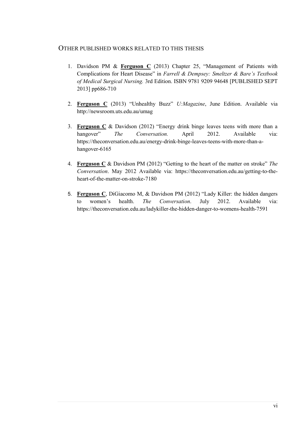### OTHER PUBLISHED WORKS RELATED TO THIS THESIS

- 1. Davidson PM & **Ferguson C** (2013) Chapter 25, "Management of Patients with Complications for Heart Disease" in *Farrell & Dempsey: Smeltzer & Bare's Textbook of Medical Surgical Nursing.* 3rd Edition. ISBN 9781 9209 94648 [PUBLISHED SEPT 2013] pp686-710
- 2. **Ferguson C** (2013) "Unhealthy Buzz" *U:Magazine*, June Edition. Available via http://newsroom.uts.edu.au/umag
- 3. **Ferguson C** & Davidson (2012) "Energy drink binge leaves teens with more than a hangover" *The Conversation.* April 2012. Available via: https://theconversation.edu.au/energy-drink-binge-leaves-teens-with-more-than-ahangover-6165
- 4. **Ferguson C** & Davidson PM (2012) "Getting to the heart of the matter on stroke" *The Conversation*. May 2012 Available via: https://theconversation.edu.au/getting-to-theheart-of-the-matter-on-stroke-7180
- 5. **Ferguson C**, DiGiacomo M, & Davidson PM (2012) "Lady Killer: the hidden dangers to women's health. *The Conversation*. July 2012. Available via: https://theconversation.edu.au/ladykiller-the-hidden-danger-to-womens-health-7591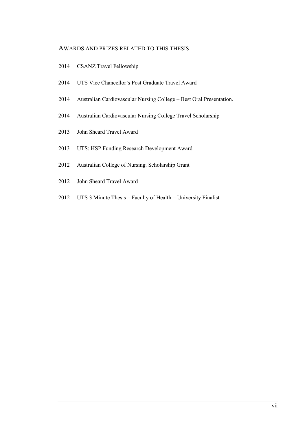#### AWARDS AND PRIZES RELATED TO THIS THESIS

- 2014 CSANZ Travel Fellowship
- 2014 UTS Vice Chancellor's Post Graduate Travel Award
- 2014 Australian Cardiovascular Nursing College Best Oral Presentation.
- 2014 Australian Cardiovascular Nursing College Travel Scholarship
- 2013 John Sheard Travel Award
- 2013 UTS: HSP Funding Research Development Award
- 2012 Australian College of Nursing. Scholarship Grant
- 2012 John Sheard Travel Award
- 2012 UTS 3 Minute Thesis Faculty of Health University Finalist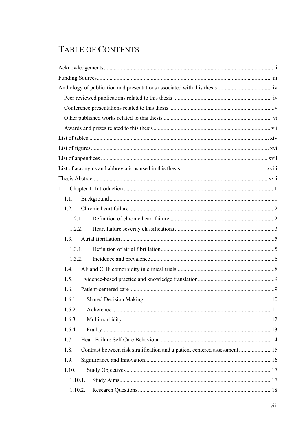# TABLE OF CONTENTS

| 1.                                                                               |  |
|----------------------------------------------------------------------------------|--|
| 1.1.                                                                             |  |
| 1.2.                                                                             |  |
| 1.2.1.                                                                           |  |
| 1.2.2.                                                                           |  |
| 1.3.                                                                             |  |
| 1.3.1.                                                                           |  |
| 1.3.2.                                                                           |  |
| 1.4.                                                                             |  |
| 1.5.                                                                             |  |
| 1.6.                                                                             |  |
| 1.6.1.                                                                           |  |
| 1.6.2.                                                                           |  |
| 1.6.3.                                                                           |  |
| 1.6.4.                                                                           |  |
| 1.7.                                                                             |  |
| 1.8.<br>Contrast between risk stratification and a patient centered assessment15 |  |
| 1.9.                                                                             |  |
| 1.10.                                                                            |  |
| 1.10.1.                                                                          |  |
| 1.10.2.                                                                          |  |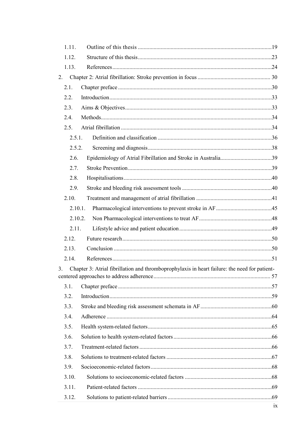| 1.11.          |                                                                                               |    |
|----------------|-----------------------------------------------------------------------------------------------|----|
| 1.12.          |                                                                                               |    |
| 1.13.          |                                                                                               |    |
| 2.             |                                                                                               |    |
| 2.1.           |                                                                                               |    |
| 2.2.           |                                                                                               |    |
| 2.3.           |                                                                                               |    |
| 2.4.           |                                                                                               |    |
| 2.5.           |                                                                                               |    |
| 2.5.1.         |                                                                                               |    |
| 2.5.2.         |                                                                                               |    |
| 2.6.           |                                                                                               |    |
| 2.7.           |                                                                                               |    |
| 2.8.           |                                                                                               |    |
| 2.9.           |                                                                                               |    |
| 2.10.          |                                                                                               |    |
| 2.10.1.        |                                                                                               |    |
| 2.10.2.        |                                                                                               |    |
| 2.11.          |                                                                                               |    |
| 2.12.          |                                                                                               |    |
| 2.13.          |                                                                                               |    |
| 2.14.          |                                                                                               |    |
| 3 <sub>1</sub> | Chapter 3: Atrial fibrillation and thromboprophylaxis in heart failure: the need for patient- |    |
| 3.1.           |                                                                                               |    |
| 3.2.           |                                                                                               |    |
| 3.3.           |                                                                                               |    |
| 3.4.           |                                                                                               |    |
| 3.5.           |                                                                                               |    |
| 3.6.           |                                                                                               |    |
| 3.7.           |                                                                                               |    |
| 3.8.           |                                                                                               |    |
| 3.9.           |                                                                                               |    |
| 3.10.          |                                                                                               |    |
| 3.11.          |                                                                                               |    |
| 3.12.          |                                                                                               |    |
|                |                                                                                               | ix |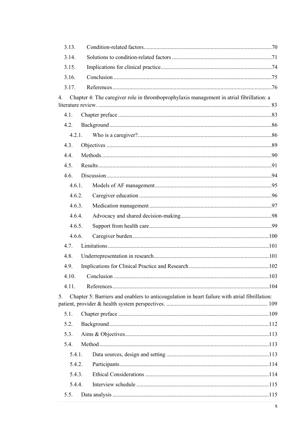| 3.13.       |        |                                                                                                |  |
|-------------|--------|------------------------------------------------------------------------------------------------|--|
| 3.14.       |        |                                                                                                |  |
| 3.15.       |        |                                                                                                |  |
| 3.16.       |        |                                                                                                |  |
| 3.17.       |        |                                                                                                |  |
| $4_{\cdot}$ |        | Chapter 4: The caregiver role in thromboprophylaxis management in atrial fibrillation: a       |  |
|             |        |                                                                                                |  |
| 4.1.        |        |                                                                                                |  |
| 4.2.        |        |                                                                                                |  |
|             | 4.2.1. |                                                                                                |  |
| 4.3.        |        |                                                                                                |  |
| 4.4.        |        |                                                                                                |  |
| 4.5.        |        |                                                                                                |  |
| 4.6.        |        |                                                                                                |  |
|             | 4.6.1. |                                                                                                |  |
|             | 4.6.2. |                                                                                                |  |
|             | 4.6.3. |                                                                                                |  |
|             | 4.6.4. |                                                                                                |  |
|             | 4.6.5. |                                                                                                |  |
|             | 4.6.6. |                                                                                                |  |
| 4.7.        |        |                                                                                                |  |
| 4.8.        |        |                                                                                                |  |
| 4.9.        |        |                                                                                                |  |
|             |        |                                                                                                |  |
| 4.11.       |        |                                                                                                |  |
| 5.          |        | Chapter 5: Barriers and enablers to anticoagulation in heart failure with atrial fibrillation: |  |
| 5.1.        |        |                                                                                                |  |
| 5.2.        |        |                                                                                                |  |
| 5.3.        |        |                                                                                                |  |
| 5.4.        |        |                                                                                                |  |
|             | 5.4.1. |                                                                                                |  |
|             | 5.4.2. |                                                                                                |  |
|             | 5.4.3. |                                                                                                |  |
|             | 5.4.4. |                                                                                                |  |
| 5.5.        |        |                                                                                                |  |
|             |        |                                                                                                |  |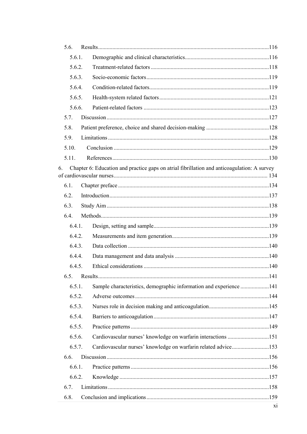| 5.6.   |                                                                                             |  |
|--------|---------------------------------------------------------------------------------------------|--|
| 5.6.1. |                                                                                             |  |
| 5.6.2. |                                                                                             |  |
| 5.6.3. |                                                                                             |  |
| 5.6.4. |                                                                                             |  |
| 5.6.5. |                                                                                             |  |
| 5.6.6. |                                                                                             |  |
| 5.7.   |                                                                                             |  |
| 5.8.   |                                                                                             |  |
| 5.9.   |                                                                                             |  |
| 5.10.  |                                                                                             |  |
| 5.11.  |                                                                                             |  |
| 6.     | Chapter 6: Education and practice gaps on atrial fibrillation and anticoagulation: A survey |  |
|        |                                                                                             |  |
| 6.1.   |                                                                                             |  |
| 6.2.   |                                                                                             |  |
| 6.3.   |                                                                                             |  |
| 6.4.   |                                                                                             |  |
| 6.4.1. |                                                                                             |  |
| 6.4.2. |                                                                                             |  |
| 6.4.3. |                                                                                             |  |
| 6.4.4. |                                                                                             |  |
| 6.4.5. |                                                                                             |  |
|        |                                                                                             |  |
| 6.5.1. | Sample characteristics, demographic information and experience 141                          |  |
| 6.5.2. |                                                                                             |  |
| 6.5.3. |                                                                                             |  |
| 6.5.4. |                                                                                             |  |
| 6.5.5. |                                                                                             |  |
| 6.5.6. | Cardiovascular nurses' knowledge on warfarin interactions 151                               |  |
| 6.5.7. | Cardiovascular nurses' knowledge on warfarin related advice153                              |  |
| 6.6.   |                                                                                             |  |
| 6.6.1. |                                                                                             |  |
| 6.6.2. |                                                                                             |  |
| 6.7.   |                                                                                             |  |
| 6.8.   |                                                                                             |  |
|        |                                                                                             |  |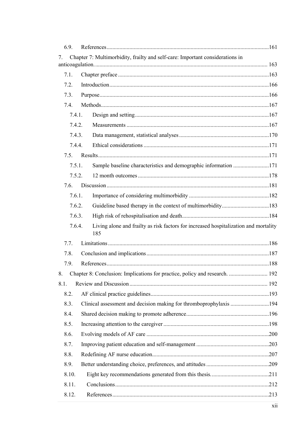| 6.9.                                  |                                                                                             |  |
|---------------------------------------|---------------------------------------------------------------------------------------------|--|
| $7_{\scriptscriptstyle{\ddot{\sim}}}$ | Chapter 7: Multimorbidity, frailty and self-care: Important considerations in               |  |
|                                       |                                                                                             |  |
| 7.1.                                  |                                                                                             |  |
| 7.2.                                  |                                                                                             |  |
| 7.3.                                  |                                                                                             |  |
| 7.4.                                  |                                                                                             |  |
| 7.4.1.                                |                                                                                             |  |
| 7.4.2.                                |                                                                                             |  |
| 7.4.3.                                |                                                                                             |  |
| 7.4.4.                                |                                                                                             |  |
| 7.5.                                  |                                                                                             |  |
| 7.5.1.                                | Sample baseline characteristics and demographic information 171                             |  |
| 7.5.2.                                |                                                                                             |  |
| 7.6.                                  |                                                                                             |  |
| 7.6.1.                                |                                                                                             |  |
| 7.6.2.                                | Guideline based therapy in the context of multimorbidity183                                 |  |
| 7.6.3.                                |                                                                                             |  |
| 7.6.4.                                | Living alone and frailty as risk factors for increased hospitalization and mortality<br>185 |  |
| 7.7.                                  |                                                                                             |  |
| 7.8.                                  |                                                                                             |  |
| 7.9.                                  |                                                                                             |  |
|                                       | 8. Chapter 8: Conclusion: Implications for practice, policy and research.  192              |  |
| 8.1.                                  |                                                                                             |  |
| 8.2.                                  |                                                                                             |  |
| 8.3.                                  |                                                                                             |  |
| 8.4.                                  |                                                                                             |  |
| 8.5.                                  |                                                                                             |  |
| 8.6.                                  |                                                                                             |  |
| 8.7.                                  |                                                                                             |  |
| 8.8.                                  |                                                                                             |  |
| 8.9.                                  |                                                                                             |  |
| 8.10.                                 |                                                                                             |  |
| 8.11.                                 |                                                                                             |  |
| 8.12.                                 |                                                                                             |  |
|                                       |                                                                                             |  |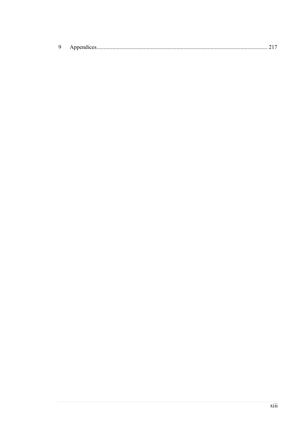|  | $\sim$ one nuces |  |
|--|------------------|--|
|--|------------------|--|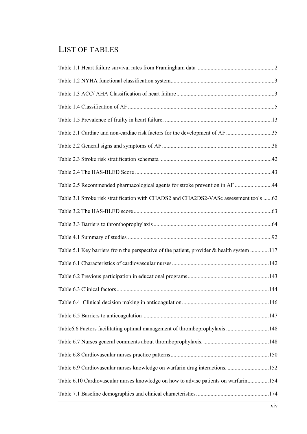## LIST OF TABLES

| Table 2.1 Cardiac and non-cardiac risk factors for the development of AF 35              |  |
|------------------------------------------------------------------------------------------|--|
|                                                                                          |  |
|                                                                                          |  |
|                                                                                          |  |
| Table 2.5 Recommended pharmacological agents for stroke prevention in AF 44              |  |
| Table 3.1 Stroke risk stratification with CHADS2 and CHA2DS2-VASc assessment tools 62    |  |
|                                                                                          |  |
|                                                                                          |  |
|                                                                                          |  |
| Table 5.1 Key barriers from the perspective of the patient, provider & health system 117 |  |
|                                                                                          |  |
|                                                                                          |  |
|                                                                                          |  |
|                                                                                          |  |
|                                                                                          |  |
| Table6.6 Factors facilitating optimal management of thromboprophylaxis 148               |  |
|                                                                                          |  |
|                                                                                          |  |
| Table 6.9 Cardiovascular nurses knowledge on warfarin drug interactions. 152             |  |
| Table 6.10 Cardiovascular nurses knowledge on how to advise patients on warfarin154      |  |
|                                                                                          |  |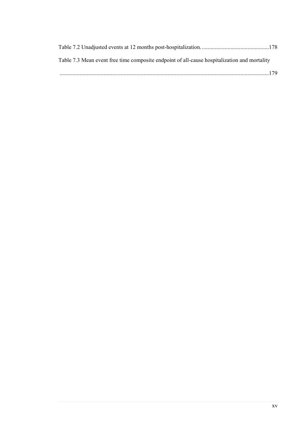| Table 7.3 Mean event free time composite endpoint of all-cause hospitalization and mortality |
|----------------------------------------------------------------------------------------------|
|                                                                                              |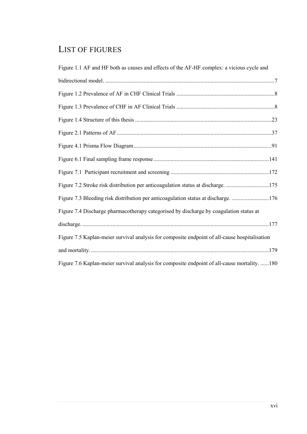# LIST OF FIGURES

| Figure 1.1 AF and HF both as causes and effects of the AF-HF complex: a vicious cycle and     |  |
|-----------------------------------------------------------------------------------------------|--|
|                                                                                               |  |
|                                                                                               |  |
|                                                                                               |  |
|                                                                                               |  |
|                                                                                               |  |
|                                                                                               |  |
|                                                                                               |  |
|                                                                                               |  |
| Figure 7.2 Stroke risk distribution per anticoagulation status at discharge. 175              |  |
| Figure 7.3 Bleeding risk distribution per anticoagulation status at discharge. 176            |  |
| Figure 7.4 Discharge pharmacotherapy categorised by discharge by coagulation status at        |  |
|                                                                                               |  |
| Figure 7.5 Kaplan-meier survival analysis for composite endpoint of all-cause hospitalisation |  |
|                                                                                               |  |
| Figure 7.6 Kaplan-meier survival analysis for composite endpoint of all-cause mortality. 180  |  |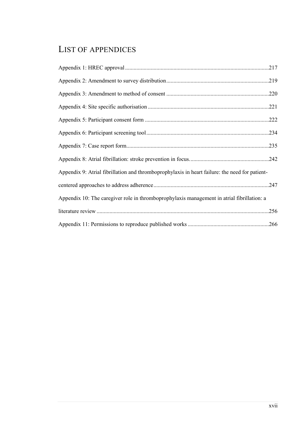# LIST OF APPENDICES

|                                                                                                | .219 |
|------------------------------------------------------------------------------------------------|------|
|                                                                                                | .220 |
|                                                                                                |      |
|                                                                                                | .222 |
|                                                                                                | .234 |
|                                                                                                | .235 |
|                                                                                                | .242 |
| Appendix 9: Atrial fibrillation and thromboprophylaxis in heart failure: the need for patient- |      |
|                                                                                                |      |
| Appendix 10: The caregiver role in thromboprophylaxis management in atrial fibrillation: a     |      |
|                                                                                                | .256 |
|                                                                                                |      |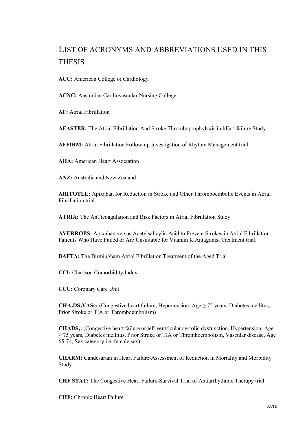# LIST OF ACRONYMS AND ABBREVIATIONS USED IN THIS **THESIS**

**ACC:** American College of Cardiology

**ACNC:** Australian Cardiovascular Nursing College

**AF:** Atrial Fibrillation

**AFASTER:** The Atrial Fibrillation And Stroke Thromboprophylaxis in hEart failure Study

**AFFIRM:** Atrial Fibrillation Follow-up Investigation of Rhythm Management trial

**AHA:** American Heart Association

**ANZ:** Australia and New Zealand

**ARITOTLE:** Apixaban for Reduction in Stroke and Other Thromboembolic Events in Atrial Fibrillation trial

**ATRIA:** The AnTicoagulation and Risk Factors in Atrial Fibrillation Study

**AVERROES:** Apixaban versus Acetylsalicylic Acid to Prevent Strokes in Atrial Fibrillation Patients Who Have Failed or Are Unsuitable for Vitamin K Antagonist Treatment trial.

**BAFTA:** The Birmingham Atrial Fibrillation Treatment of the Aged Trial

**CCI:** Charlson Comorbidity Index

**CCU:** Coronary Care Unit

**CHA<sub>2</sub>DS<sub>2</sub>VASc:** (Congestive heart failure, Hypertension, Age  $\geq$  75 years, Diabetes mellitus, Prior Stroke or TIA or Thromboembolism)

**CHADS2:** (Congestive heart failure or left ventricular systolic dysfunction, Hypertension, Age ≥ 75 years, Diabetes mellitus, Prior Stroke or TIA or Thromboembolism, Vascular disease, Age 65-74, Sex category i.e. female sex)

**CHARM:** Candesartan in Heart Failure-Assessment of Reduction in Mortality and Morbidity Study

**CHF STAT:** The Congestive Heart Failure-Survival Trial of Antiarrhythmic Therapy trial

**CHF:** Chronic Heart Failure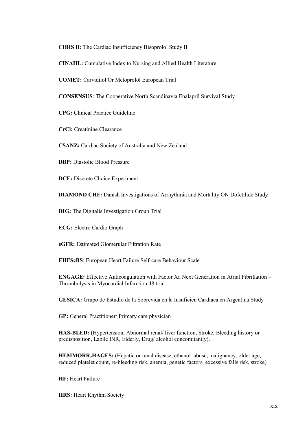**CIBIS II:** The Cardiac Insufficiency Bisoprolol Study II

**CINAHL:** Cumulative Index to Nursing and Allied Health Literature

**COMET:** Carvidilol Or Metoprolol European Trial

**CONSENSUS**: The Cooperative North Scandinavia Enalapril Survival Study

**CPG:** Clinical Practice Guideline

**CrCl:** Creatinine Clearance

**CSANZ:** Cardiac Society of Australia and New Zealand

**DBP:** Diastolic Blood Pressure

**DCE:** Discrete Choice Experiment

**DIAMOND CHF:** Danish Investigations of Arrhythmia and Mortality ON Dofetilide Study

**DIG:** The Digitalis Investigation Group Trial

**ECG:** Electro Cardio Graph

**eGFR:** Estimated Glomerular Filtration Rate

**EHFScBS**: European Heart Failure Self-care Behaviour Scale

**ENGAGE:** Effective Anticoagulation with Factor Xa Next Generation in Atrial Fibrillation – Thrombolysis in Myocardial Infarction 48 trial

**GESICA:** Grupo de Estudio de la Sobrevida en la Insuficien Cardiaca en Argentina Study

**GP:** General Practitioner/ Primary care physician

**HAS-BLED:** (Hypertension, Abnormal renal/ liver function, Stroke, Bleeding history or predisposition, Labile INR, Elderly, Drug/ alcohol concomitantly).

HEMMORR<sub>2</sub>HAGES: (Hepatic or renal disease, ethanol abuse, malignancy, older age, reduced platelet count, re-bleeding risk, anemia, genetic factors, excessive falls risk, stroke)

**HF:** Heart Failure

**HRS:** Heart Rhythm Society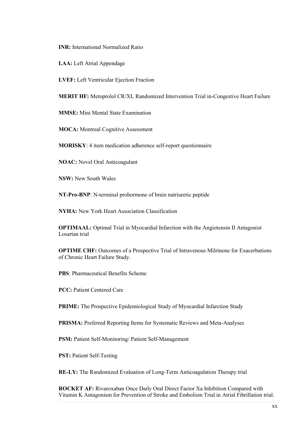**INR:** International Normalized Ratio

**LAA:** Left Atrial Appendage

**LVEF:** Left Ventricular Ejection Fraction

**MERIT HF:** Metoprolol CR/XL Randomized Intervention Trial in-Congestive Heart Failure

**MMSE:** Mini Mental State Examination

**MOCA:** Montreal Cognitive Assessment

**MORISKY**: 4 item medication adherence self-report questionnaire

**NOAC:** Novel Oral Anticoagulant

**NSW:** New South Wales

**NT-Pro-BNP**: N-terminal prohormone of brain natriuretic peptide

**NYHA:** New York Heart Association Classification

**OPTIMAAL:** Optimal Trial in Myocardial Infarction with the Angiotensin II Antagonist Losartan trial

**OPTIME CHF:** Outcomes of a Prospective Trial of Intravenous Milrinone for Exacerbations of Chronic Heart Failure Study.

**PBS**: Pharmaceutical Benefits Scheme

**PCC:** Patient Centered Care

**PRIME:** The Prospective Epidemiological Study of Myocardial Infarction Study

**PRISMA:** Preferred Reporting Items for Systematic Reviews and Meta-Analyses

**PSM:** Patient Self-Monitoring/ Patient Self-Management

**PST:** Patient Self-Testing

**RE-LY:** The Randomized Evaluation of Long-Term Anticoagulation Therapy trial

**ROCKET AF:** Rivaroxaban Once Daily Oral Direct Factor Xa Inhibition Compared with Vitamin K Antagonism for Prevention of Stroke and Embolism Trial in Atrial Fibrillation trial.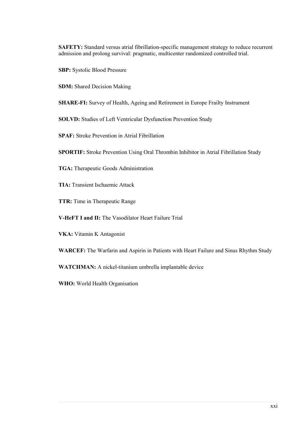**SAFETY:** Standard versus atrial fibrillation-specific management strategy to reduce recurrent admission and prolong survival: pragmatic, multicenter randomized controlled trial.

**SBP:** Systolic Blood Pressure

**SDM:** Shared Decision Making

**SHARE-FI:** Survey of Health, Ageing and Retirement in Europe Frailty Instrument

**SOLVD:** Studies of Left Ventricular Dysfunction Prevention Study

**SPAF:** Stroke Prevention in Atrial Fibrillation

**SPORTIF:** Stroke Prevention Using Oral Thrombin Inhibitor in Atrial Fibrillation Study

**TGA:** Therapeutic Goods Administration

**TIA:** Transient Ischaemic Attack

**TTR:** Time in Therapeutic Range

**V-HeFT I and II:** The Vasodilator Heart Failure Trial

**VKA:** Vitamin K Antagonist

**WARCEF:** The Warfarin and Aspirin in Patients with Heart Failure and Sinus Rhythm Study

**WATCHMAN:** A nickel-titanium umbrella implantable device

**WHO:** World Health Organisation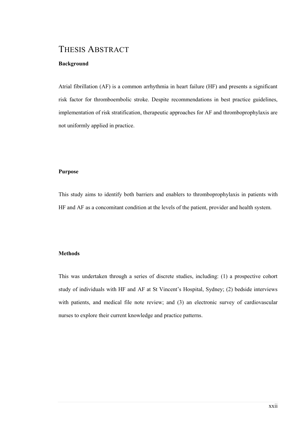### THESIS ABSTRACT

#### **Background**

Atrial fibrillation (AF) is a common arrhythmia in heart failure (HF) and presents a significant risk factor for thromboembolic stroke. Despite recommendations in best practice guidelines, implementation of risk stratification, therapeutic approaches for AF and thromboprophylaxis are not uniformly applied in practice.

#### **Purpose**

This study aims to identify both barriers and enablers to thromboprophylaxis in patients with HF and AF as a concomitant condition at the levels of the patient, provider and health system.

#### **Methods**

This was undertaken through a series of discrete studies, including: (1) a prospective cohort study of individuals with HF and AF at St Vincent's Hospital, Sydney; (2) bedside interviews with patients, and medical file note review; and (3) an electronic survey of cardiovascular nurses to explore their current knowledge and practice patterns.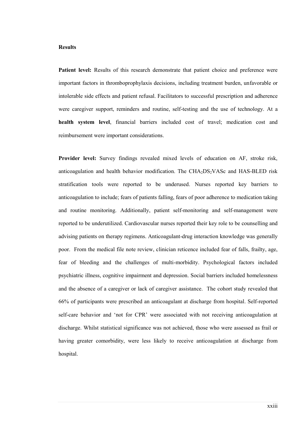#### **Results**

**Patient level:** Results of this research demonstrate that patient choice and preference were important factors in thromboprophylaxis decisions, including treatment burden, unfavorable or intolerable side effects and patient refusal. Facilitators to successful prescription and adherence were caregiver support, reminders and routine, self-testing and the use of technology. At a **health system level**, financial barriers included cost of travel; medication cost and reimbursement were important considerations.

**Provider level:** Survey findings revealed mixed levels of education on AF, stroke risk, anticoagulation and health behavior modification. The  $CHA<sub>2</sub>DS<sub>2</sub>VASc$  and  $HAS-BLED$  risk stratification tools were reported to be underused. Nurses reported key barriers to anticoagulation to include; fears of patients falling, fears of poor adherence to medication taking and routine monitoring. Additionally, patient self-monitoring and self-management were reported to be underutilized. Cardiovascular nurses reported their key role to be counselling and advising patients on therapy regimens. Anticoagulant-drug interaction knowledge was generally poor. From the medical file note review, clinician reticence included fear of falls, frailty, age, fear of bleeding and the challenges of multi-morbidity. Psychological factors included psychiatric illness, cognitive impairment and depression. Social barriers included homelessness and the absence of a caregiver or lack of caregiver assistance. The cohort study revealed that 66% of participants were prescribed an anticoagulant at discharge from hospital. Self-reported self-care behavior and 'not for CPR' were associated with not receiving anticoagulation at discharge. Whilst statistical significance was not achieved, those who were assessed as frail or having greater comorbidity, were less likely to receive anticoagulation at discharge from hospital.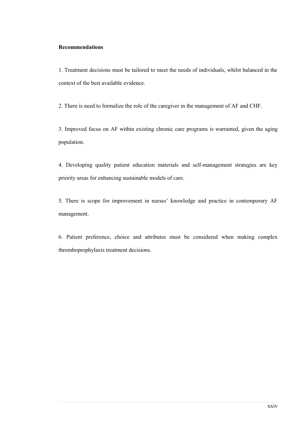#### **Recommendations**

1. Treatment decisions must be tailored to meet the needs of individuals, whilst balanced in the context of the best available evidence.

2. There is need to formalize the role of the caregiver in the management of AF and CHF.

3. Improved focus on AF within existing chronic care programs is warranted, given the aging population.

4. Developing quality patient education materials and self-management strategies are key priority areas for enhancing sustainable models of care.

5. There is scope for improvement in nurses' knowledge and practice in contemporary AF management.

6. Patient preference, choice and attributes must be considered when making complex thromboprophylaxis treatment decisions.